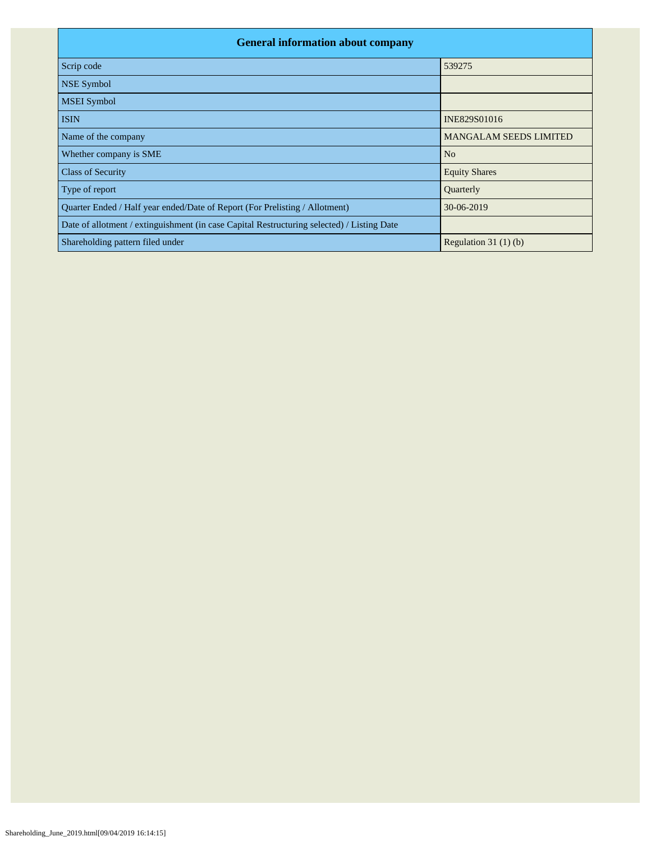| <b>General information about company</b>                                                   |                               |
|--------------------------------------------------------------------------------------------|-------------------------------|
| Scrip code                                                                                 | 539275                        |
| <b>NSE Symbol</b>                                                                          |                               |
| <b>MSEI</b> Symbol                                                                         |                               |
| <b>ISIN</b>                                                                                | INE829S01016                  |
| Name of the company                                                                        | <b>MANGALAM SEEDS LIMITED</b> |
| Whether company is SME                                                                     | N <sub>o</sub>                |
| <b>Class of Security</b>                                                                   | <b>Equity Shares</b>          |
| Type of report                                                                             | Quarterly                     |
| Quarter Ended / Half year ended/Date of Report (For Prelisting / Allotment)                | 30-06-2019                    |
| Date of allotment / extinguishment (in case Capital Restructuring selected) / Listing Date |                               |
| Shareholding pattern filed under                                                           | Regulation 31 $(1)(b)$        |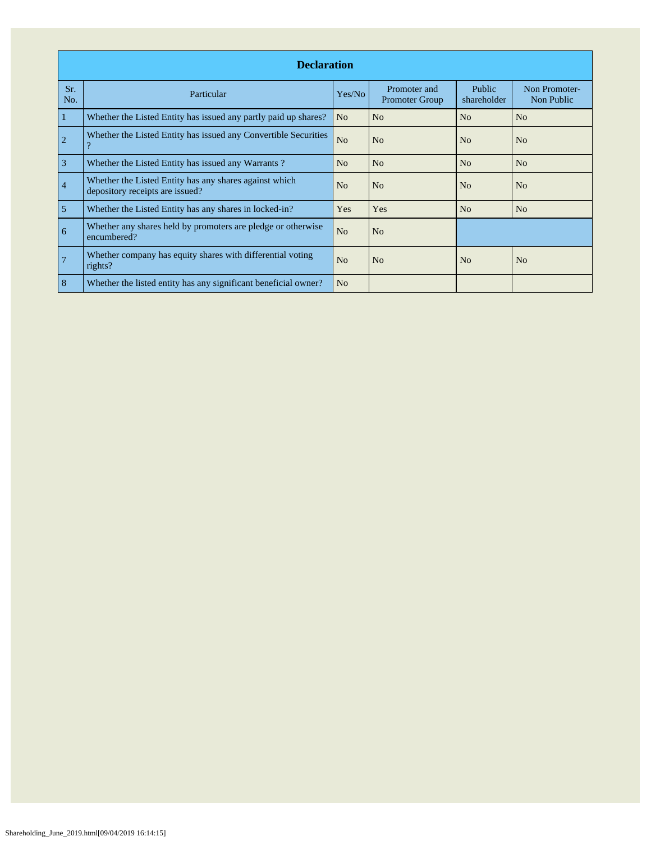|                | <b>Declaration</b>                                                                        |                |                                       |                              |                             |  |  |  |  |  |  |  |
|----------------|-------------------------------------------------------------------------------------------|----------------|---------------------------------------|------------------------------|-----------------------------|--|--|--|--|--|--|--|
| Sr.<br>No.     | Particular                                                                                | Yes/No         | Promoter and<br><b>Promoter Group</b> | <b>Public</b><br>shareholder | Non Promoter-<br>Non Public |  |  |  |  |  |  |  |
| 1              | Whether the Listed Entity has issued any partly paid up shares?                           | N <sub>o</sub> | No                                    | No                           | No                          |  |  |  |  |  |  |  |
| $\overline{2}$ | Whether the Listed Entity has issued any Convertible Securities<br>$\mathcal{P}$          | N <sub>o</sub> | N <sub>o</sub>                        | No                           | N <sub>o</sub>              |  |  |  |  |  |  |  |
| 3              | Whether the Listed Entity has issued any Warrants?                                        | N <sub>o</sub> | N <sub>o</sub>                        | No                           | N <sub>o</sub>              |  |  |  |  |  |  |  |
| $\overline{4}$ | Whether the Listed Entity has any shares against which<br>depository receipts are issued? | N <sub>o</sub> | N <sub>o</sub>                        | N <sub>o</sub>               | N <sub>o</sub>              |  |  |  |  |  |  |  |
| 5              | Whether the Listed Entity has any shares in locked-in?                                    | <b>Yes</b>     | Yes                                   | N <sub>o</sub>               | N <sub>o</sub>              |  |  |  |  |  |  |  |
| 6              | Whether any shares held by promoters are pledge or otherwise<br>encumbered?               | N <sub>o</sub> | N <sub>o</sub>                        |                              |                             |  |  |  |  |  |  |  |
| $\overline{7}$ | Whether company has equity shares with differential voting<br>rights?                     | N <sub>o</sub> | N <sub>o</sub>                        | N <sub>o</sub>               | N <sub>o</sub>              |  |  |  |  |  |  |  |
| 8              | Whether the listed entity has any significant beneficial owner?                           | N <sub>o</sub> |                                       |                              |                             |  |  |  |  |  |  |  |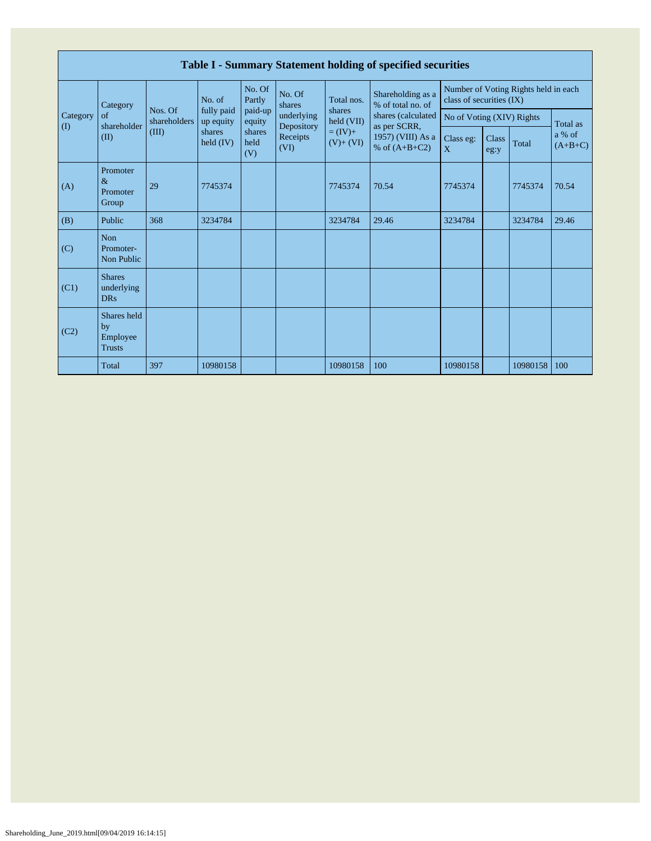|                                        | Table I - Summary Statement holding of specified securities |                         |                         |                       |                          |                          |                                        |                           |                           |                                      |                     |  |  |
|----------------------------------------|-------------------------------------------------------------|-------------------------|-------------------------|-----------------------|--------------------------|--------------------------|----------------------------------------|---------------------------|---------------------------|--------------------------------------|---------------------|--|--|
|                                        | Category                                                    |                         | No. of                  | No. Of<br>Partly      | No. Of<br>shares         | Total nos.               | Shareholding as a<br>% of total no. of | class of securities (IX)  |                           | Number of Voting Rights held in each |                     |  |  |
| Category<br>$\left( \mathrm{I}\right)$ | $\sigma$<br>shareholder                                     | Nos. Of<br>shareholders | fully paid<br>up equity | paid-up<br>equity     | underlying<br>Depository | shares<br>held (VII)     | shares (calculated<br>as per SCRR,     |                           | No of Voting (XIV) Rights |                                      | Total as            |  |  |
|                                        | (II)                                                        | (III)                   | shares<br>held $(IV)$   | shares<br>held<br>(V) | Receipts<br>(VI)         | $= (IV) +$<br>$(V)+(VI)$ | 1957) (VIII) As a<br>% of $(A+B+C2)$   | Class eg:<br>$\mathbf{X}$ | Class<br>eg:y             | Total                                | a % of<br>$(A+B+C)$ |  |  |
| (A)                                    | Promoter<br>$\&$<br>Promoter<br>Group                       | 29                      | 7745374                 |                       |                          | 7745374                  | 70.54                                  | 7745374                   |                           | 7745374                              | 70.54               |  |  |
| (B)                                    | Public                                                      | 368                     | 3234784                 |                       |                          | 3234784                  | 29.46                                  | 3234784                   |                           | 3234784                              | 29.46               |  |  |
| (C)                                    | Non<br>Promoter-<br>Non Public                              |                         |                         |                       |                          |                          |                                        |                           |                           |                                      |                     |  |  |
| (C1)                                   | <b>Shares</b><br>underlying<br><b>DRs</b>                   |                         |                         |                       |                          |                          |                                        |                           |                           |                                      |                     |  |  |
| (C2)                                   | Shares held<br>by<br>Employee<br><b>Trusts</b>              |                         |                         |                       |                          |                          |                                        |                           |                           |                                      |                     |  |  |
|                                        | Total                                                       | 397                     | 10980158                |                       |                          | 10980158                 | 100                                    | 10980158                  |                           | 10980158                             | 100                 |  |  |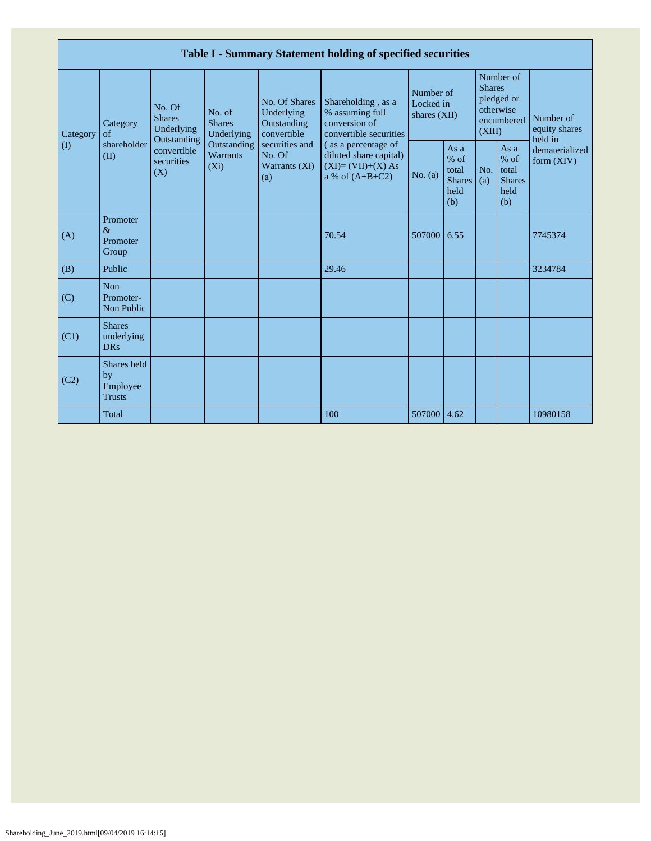|                            |                                                |                                                                    |                                                           |                                                                                  | Table I - Summary Statement holding of specified securities                               |             |                                                                               |            |                                                         |                                |
|----------------------------|------------------------------------------------|--------------------------------------------------------------------|-----------------------------------------------------------|----------------------------------------------------------------------------------|-------------------------------------------------------------------------------------------|-------------|-------------------------------------------------------------------------------|------------|---------------------------------------------------------|--------------------------------|
| Category                   | No. Of<br><b>Shares</b><br>Category<br>of      | No. of<br><b>Shares</b><br>Underlying<br>Underlying<br>Outstanding | No. Of Shares<br>Underlying<br>Outstanding<br>convertible | Shareholding, as a<br>% assuming full<br>conversion of<br>convertible securities | Number of<br>Locked in<br>shares (XII)                                                    |             | Number of<br><b>Shares</b><br>pledged or<br>otherwise<br>encumbered<br>(XIII) |            | Number of<br>equity shares<br>held in                   |                                |
| $\left( \mathrm{I}\right)$ | shareholder<br>(II)                            | convertible<br>securities<br>(X)                                   | Outstanding<br>Warrants<br>$(X_i)$                        | securities and<br>No. Of<br>Warrants (Xi)<br>(a)                                 | (as a percentage of<br>diluted share capital)<br>$(XI)=(VII)+(X) As$<br>a % of $(A+B+C2)$ | No. (a)     | As $a$<br>$%$ of<br>total<br><b>Shares</b><br>held<br>(b)                     | No.<br>(a) | As a<br>$%$ of<br>total<br><b>Shares</b><br>held<br>(b) | dematerialized<br>form $(XIV)$ |
| (A)                        | Promoter<br>$\&$<br>Promoter<br>Group          |                                                                    |                                                           |                                                                                  | 70.54                                                                                     | 507000      | 6.55                                                                          |            |                                                         | 7745374                        |
| (B)                        | Public                                         |                                                                    |                                                           |                                                                                  | 29.46                                                                                     |             |                                                                               |            |                                                         | 3234784                        |
| (C)                        | <b>Non</b><br>Promoter-<br>Non Public          |                                                                    |                                                           |                                                                                  |                                                                                           |             |                                                                               |            |                                                         |                                |
| (C1)                       | <b>Shares</b><br>underlying<br><b>DRs</b>      |                                                                    |                                                           |                                                                                  |                                                                                           |             |                                                                               |            |                                                         |                                |
| (C2)                       | Shares held<br>by<br>Employee<br><b>Trusts</b> |                                                                    |                                                           |                                                                                  |                                                                                           |             |                                                                               |            |                                                         |                                |
|                            | Total                                          |                                                                    |                                                           |                                                                                  | 100                                                                                       | 507000 4.62 |                                                                               |            |                                                         | 10980158                       |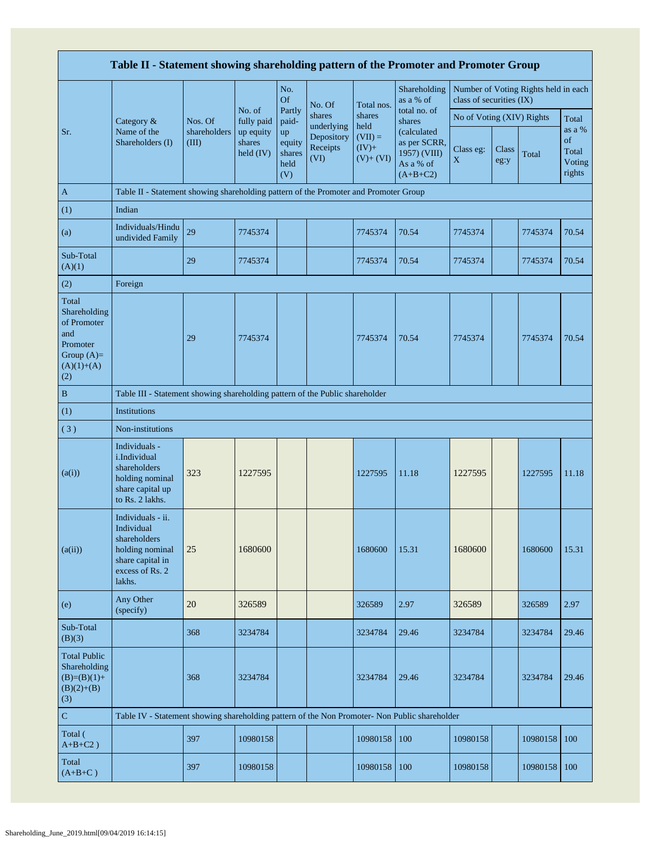|                                                                                                | Table II - Statement showing shareholding pattern of the Promoter and Promoter Group                                |                       |                                  |                                       |                                              |                                                |                                                                         |                                                                  |               |          |                                           |  |
|------------------------------------------------------------------------------------------------|---------------------------------------------------------------------------------------------------------------------|-----------------------|----------------------------------|---------------------------------------|----------------------------------------------|------------------------------------------------|-------------------------------------------------------------------------|------------------------------------------------------------------|---------------|----------|-------------------------------------------|--|
|                                                                                                |                                                                                                                     |                       |                                  | No.<br><b>Of</b>                      | No. Of                                       | Total nos.                                     | Shareholding<br>as a % of                                               | Number of Voting Rights held in each<br>class of securities (IX) |               |          |                                           |  |
|                                                                                                | Category &                                                                                                          | Nos. Of               | No. of<br>fully paid             | Partly<br>paid-                       | shares                                       | shares                                         | total no. of<br>shares                                                  | No of Voting (XIV) Rights                                        |               |          | Total                                     |  |
| Sr.                                                                                            | Name of the<br>Shareholders (I)                                                                                     | shareholders<br>(III) | up equity<br>shares<br>held (IV) | up<br>equity<br>shares<br>held<br>(V) | underlying<br>Depository<br>Receipts<br>(VI) | held<br>$(VII) =$<br>$(IV)+$<br>$(V)$ + $(VI)$ | (calculated)<br>as per SCRR,<br>1957) (VIII)<br>As a % of<br>$(A+B+C2)$ | Class eg:<br>X                                                   | Class<br>eg:y | Total    | as a %<br>of<br>Total<br>Voting<br>rights |  |
| $\mathbf{A}$                                                                                   | Table II - Statement showing shareholding pattern of the Promoter and Promoter Group                                |                       |                                  |                                       |                                              |                                                |                                                                         |                                                                  |               |          |                                           |  |
| (1)                                                                                            | Indian                                                                                                              |                       |                                  |                                       |                                              |                                                |                                                                         |                                                                  |               |          |                                           |  |
| (a)                                                                                            | Individuals/Hindu<br>undivided Family                                                                               | 29                    | 7745374                          |                                       |                                              | 7745374                                        | 70.54                                                                   | 7745374                                                          |               | 7745374  | 70.54                                     |  |
| Sub-Total<br>(A)(1)                                                                            |                                                                                                                     | 29                    | 7745374                          |                                       |                                              | 7745374                                        | 70.54                                                                   | 7745374                                                          |               | 7745374  | 70.54                                     |  |
| (2)                                                                                            | Foreign                                                                                                             |                       |                                  |                                       |                                              |                                                |                                                                         |                                                                  |               |          |                                           |  |
| Total<br>Shareholding<br>of Promoter<br>and<br>Promoter<br>Group $(A)=$<br>$(A)(1)+(A)$<br>(2) |                                                                                                                     | 29                    | 7745374                          |                                       |                                              | 7745374                                        | 70.54                                                                   | 7745374                                                          |               | 7745374  | 70.54                                     |  |
| $\, {\bf B}$                                                                                   | Table III - Statement showing shareholding pattern of the Public shareholder                                        |                       |                                  |                                       |                                              |                                                |                                                                         |                                                                  |               |          |                                           |  |
| (1)                                                                                            | <b>Institutions</b>                                                                                                 |                       |                                  |                                       |                                              |                                                |                                                                         |                                                                  |               |          |                                           |  |
| (3)                                                                                            | Non-institutions                                                                                                    |                       |                                  |                                       |                                              |                                                |                                                                         |                                                                  |               |          |                                           |  |
| (a(i))                                                                                         | Individuals -<br>i.Individual<br>shareholders<br>holding nominal<br>share capital up<br>to Rs. 2 lakhs.             | 323                   | 1227595                          |                                       |                                              | 1227595                                        | 11.18                                                                   | 1227595                                                          |               | 1227595  | 11.18                                     |  |
| (a(ii))                                                                                        | Individuals - ii.<br>Individual<br>shareholders<br>holding nominal<br>share capital in<br>excess of Rs. 2<br>lakhs. | 25                    | 1680600                          |                                       |                                              | 1680600                                        | 15.31                                                                   | 1680600                                                          |               | 1680600  | 15.31                                     |  |
| (e)                                                                                            | Any Other<br>(specify)                                                                                              | 20                    | 326589                           |                                       |                                              | 326589                                         | 2.97                                                                    | 326589                                                           |               | 326589   | 2.97                                      |  |
| Sub-Total<br>(B)(3)                                                                            |                                                                                                                     | 368                   | 3234784                          |                                       |                                              | 3234784                                        | 29.46                                                                   | 3234784                                                          |               | 3234784  | 29.46                                     |  |
| <b>Total Public</b><br>Shareholding<br>$(B)=(B)(1)+$<br>$(B)(2)+(B)$<br>(3)                    |                                                                                                                     | 368                   | 3234784                          |                                       |                                              | 3234784                                        | 29.46                                                                   | 3234784                                                          |               | 3234784  | 29.46                                     |  |
| $\mathbf C$                                                                                    | Table IV - Statement showing shareholding pattern of the Non Promoter- Non Public shareholder                       |                       |                                  |                                       |                                              |                                                |                                                                         |                                                                  |               |          |                                           |  |
| Total (<br>$A+B+C2$ )                                                                          |                                                                                                                     | 397                   | 10980158                         |                                       |                                              | 10980158                                       | 100                                                                     | 10980158                                                         |               | 10980158 | 100                                       |  |
| Total<br>$(A+B+C)$                                                                             |                                                                                                                     | 397                   | 10980158                         |                                       |                                              | 10980158                                       | 100                                                                     | 10980158                                                         |               | 10980158 | 100                                       |  |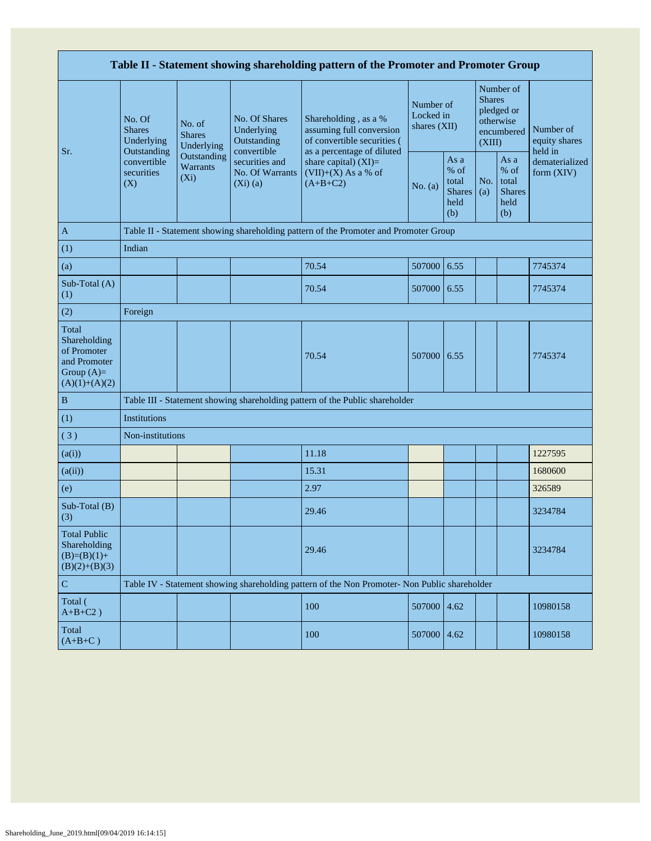| Table II - Statement showing shareholding pattern of the Promoter and Promoter Group    |                                                      |                                       |                                                           |                                                                                                               |                                                                  |      |            |                                                                               |                                       |  |  |  |  |
|-----------------------------------------------------------------------------------------|------------------------------------------------------|---------------------------------------|-----------------------------------------------------------|---------------------------------------------------------------------------------------------------------------|------------------------------------------------------------------|------|------------|-------------------------------------------------------------------------------|---------------------------------------|--|--|--|--|
|                                                                                         | No. Of<br><b>Shares</b><br>Underlying<br>Outstanding | No. of<br><b>Shares</b><br>Underlying | No. Of Shares<br>Underlying<br>Outstanding<br>convertible | Shareholding, as a %<br>assuming full conversion<br>of convertible securities (<br>as a percentage of diluted | Number of<br>Locked in<br>shares (XII)                           |      |            | Number of<br><b>Shares</b><br>pledged or<br>otherwise<br>encumbered<br>(XIII) | Number of<br>equity shares<br>held in |  |  |  |  |
| Sr.                                                                                     | convertible<br>securities<br>(X)                     | Outstanding<br>Warrants<br>$(X_i)$    | securities and<br>No. Of Warrants<br>$(Xi)$ (a)           | share capital) $(XI)$ =<br>$(VII)+(X)$ As a % of<br>$(A+B+C2)$                                                | As a<br>% of<br>total<br>No. (a)<br><b>Shares</b><br>held<br>(b) |      | No.<br>(a) | As a<br>% of<br>total<br><b>Shares</b><br>held<br>(b)                         | dematerialized<br>form (XIV)          |  |  |  |  |
| A                                                                                       |                                                      |                                       |                                                           | Table II - Statement showing shareholding pattern of the Promoter and Promoter Group                          |                                                                  |      |            |                                                                               |                                       |  |  |  |  |
| (1)                                                                                     | Indian                                               |                                       |                                                           |                                                                                                               |                                                                  |      |            |                                                                               |                                       |  |  |  |  |
| (a)                                                                                     |                                                      |                                       |                                                           | 70.54                                                                                                         | 507000                                                           | 6.55 |            |                                                                               | 7745374                               |  |  |  |  |
| Sub-Total (A)<br>(1)                                                                    |                                                      |                                       |                                                           | 70.54                                                                                                         | 507000                                                           | 6.55 |            |                                                                               | 7745374                               |  |  |  |  |
| (2)                                                                                     | Foreign                                              |                                       |                                                           |                                                                                                               |                                                                  |      |            |                                                                               |                                       |  |  |  |  |
| Total<br>Shareholding<br>of Promoter<br>and Promoter<br>Group $(A)=$<br>$(A)(1)+(A)(2)$ |                                                      |                                       |                                                           | 70.54                                                                                                         | 507000                                                           | 6.55 |            |                                                                               | 7745374                               |  |  |  |  |
| $\, {\bf B}$                                                                            |                                                      |                                       |                                                           | Table III - Statement showing shareholding pattern of the Public shareholder                                  |                                                                  |      |            |                                                                               |                                       |  |  |  |  |
| (1)                                                                                     | <b>Institutions</b>                                  |                                       |                                                           |                                                                                                               |                                                                  |      |            |                                                                               |                                       |  |  |  |  |
| (3)                                                                                     | Non-institutions                                     |                                       |                                                           |                                                                                                               |                                                                  |      |            |                                                                               |                                       |  |  |  |  |
| (a(i))                                                                                  |                                                      |                                       |                                                           | 11.18                                                                                                         |                                                                  |      |            |                                                                               | 1227595                               |  |  |  |  |
| (a(ii))                                                                                 |                                                      |                                       |                                                           | 15.31                                                                                                         |                                                                  |      |            |                                                                               | 1680600                               |  |  |  |  |
| (e)                                                                                     |                                                      |                                       |                                                           | 2.97                                                                                                          |                                                                  |      |            |                                                                               | 326589                                |  |  |  |  |
| Sub-Total (B)<br>(3)                                                                    |                                                      |                                       |                                                           | 29.46                                                                                                         |                                                                  |      |            |                                                                               | 3234784                               |  |  |  |  |
| <b>Total Public</b><br>Shareholding<br>$(B)=(B)(1)+$<br>$(B)(2)+(B)(3)$                 |                                                      |                                       |                                                           | 29.46                                                                                                         |                                                                  |      |            |                                                                               | 3234784                               |  |  |  |  |
| $\mathbf C$                                                                             |                                                      |                                       |                                                           | Table IV - Statement showing shareholding pattern of the Non Promoter- Non Public shareholder                 |                                                                  |      |            |                                                                               |                                       |  |  |  |  |
| Total (<br>$A+B+C2$ )                                                                   |                                                      |                                       |                                                           | 100                                                                                                           | 507000                                                           | 4.62 |            |                                                                               | 10980158                              |  |  |  |  |
| Total<br>$(A+B+C)$                                                                      |                                                      |                                       |                                                           | 100                                                                                                           | 507000 4.62                                                      |      |            |                                                                               | 10980158                              |  |  |  |  |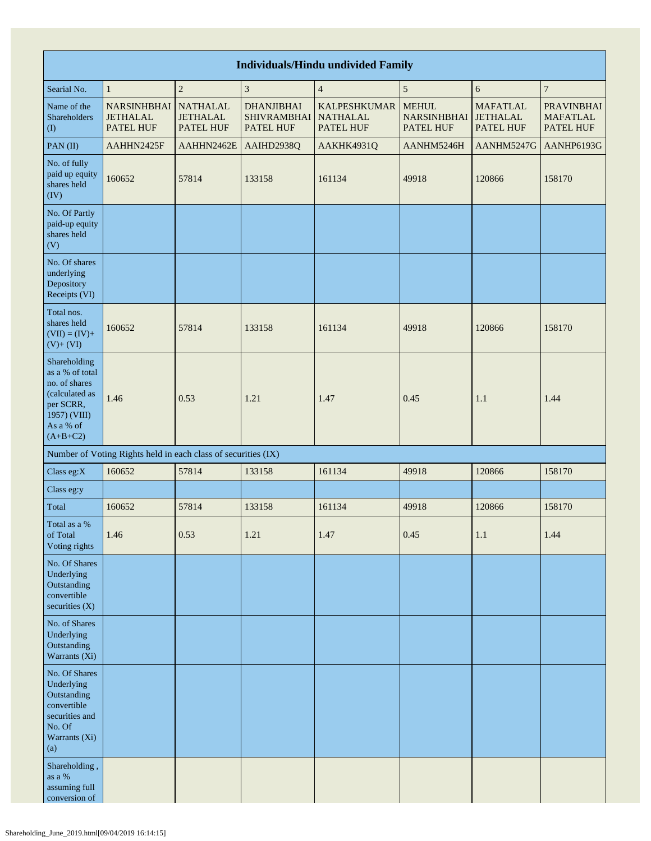| <b>Individuals/Hindu undivided Family</b>                                                                                  |                                                               |                                                        |                                                      |                                                            |                                                        |                                                 |                                                   |  |  |  |  |  |  |
|----------------------------------------------------------------------------------------------------------------------------|---------------------------------------------------------------|--------------------------------------------------------|------------------------------------------------------|------------------------------------------------------------|--------------------------------------------------------|-------------------------------------------------|---------------------------------------------------|--|--|--|--|--|--|
| $\overline{4}$<br>$\overline{c}$<br>3<br>$\sqrt{5}$<br>6<br>$\overline{7}$<br>$\mathbf{1}$<br>Searial No.                  |                                                               |                                                        |                                                      |                                                            |                                                        |                                                 |                                                   |  |  |  |  |  |  |
| Name of the<br>Shareholders<br>(1)                                                                                         | <b>NARSINHBHAI</b><br><b>JETHALAL</b><br><b>PATEL HUF</b>     | <b>NATHALAL</b><br><b>JETHALAL</b><br><b>PATEL HUF</b> | <b>DHANJIBHAI</b><br><b>SHIVRAMBHAI</b><br>PATEL HUF | <b>KALPESHKUMAR</b><br><b>NATHALAL</b><br><b>PATEL HUF</b> | <b>MEHUL</b><br><b>NARSINHBHAI</b><br><b>PATEL HUF</b> | <b>MAFATLAL</b><br><b>JETHALAL</b><br>PATEL HUF | <b>PRAVINBHAI</b><br><b>MAFATLAL</b><br>PATEL HUF |  |  |  |  |  |  |
| PAN(II)                                                                                                                    | AAHHN2425F                                                    | AAHHN2462E                                             | AAIHD2938Q                                           | AAKHK4931Q                                                 | AANHM5246H                                             | AANHM5247G                                      | AANHP6193G                                        |  |  |  |  |  |  |
| No. of fully<br>paid up equity<br>shares held<br>(IV)                                                                      | 160652                                                        | 57814                                                  | 133158                                               | 161134                                                     | 49918                                                  | 120866                                          | 158170                                            |  |  |  |  |  |  |
| No. Of Partly<br>paid-up equity<br>shares held<br>(V)                                                                      |                                                               |                                                        |                                                      |                                                            |                                                        |                                                 |                                                   |  |  |  |  |  |  |
| No. Of shares<br>underlying<br>Depository<br>Receipts (VI)                                                                 |                                                               |                                                        |                                                      |                                                            |                                                        |                                                 |                                                   |  |  |  |  |  |  |
| Total nos.<br>shares held<br>$(VII) = (IV) +$<br>$(V) + (VI)$                                                              | 160652                                                        | 57814                                                  | 133158                                               | 161134                                                     | 49918                                                  | 120866                                          | 158170                                            |  |  |  |  |  |  |
| Shareholding<br>as a % of total<br>no. of shares<br>(calculated as<br>per SCRR,<br>1957) (VIII)<br>As a % of<br>$(A+B+C2)$ | 1.46                                                          | 0.53                                                   | 1.21                                                 | 1.47                                                       | 0.45                                                   | 1.1                                             | 1.44                                              |  |  |  |  |  |  |
|                                                                                                                            | Number of Voting Rights held in each class of securities (IX) |                                                        |                                                      |                                                            |                                                        |                                                 |                                                   |  |  |  |  |  |  |
| Class eg:X                                                                                                                 | 160652                                                        | 57814                                                  | 133158                                               | 161134                                                     | 49918                                                  | 120866                                          | 158170                                            |  |  |  |  |  |  |
| Class eg:y                                                                                                                 |                                                               |                                                        |                                                      |                                                            |                                                        |                                                 |                                                   |  |  |  |  |  |  |
| Total                                                                                                                      | 160652                                                        | 57814                                                  | 133158                                               | 161134                                                     | 49918                                                  | 120866                                          | 158170                                            |  |  |  |  |  |  |
| Total as a %<br>of Total<br>Voting rights                                                                                  | 1.46                                                          | 0.53                                                   | 1.21                                                 | 1.47                                                       | 0.45                                                   | $1.1\,$                                         | 1.44                                              |  |  |  |  |  |  |
| No. Of Shares<br>Underlying<br>Outstanding<br>convertible<br>securities $(X)$                                              |                                                               |                                                        |                                                      |                                                            |                                                        |                                                 |                                                   |  |  |  |  |  |  |
| No. of Shares<br>Underlying<br>Outstanding<br>Warrants (Xi)                                                                |                                                               |                                                        |                                                      |                                                            |                                                        |                                                 |                                                   |  |  |  |  |  |  |
| No. Of Shares<br>Underlying<br>Outstanding<br>convertible<br>securities and<br>No. Of<br>Warrants (Xi)<br>(a)              |                                                               |                                                        |                                                      |                                                            |                                                        |                                                 |                                                   |  |  |  |  |  |  |
| Shareholding,<br>as a $\%$<br>assuming full<br>conversion of                                                               |                                                               |                                                        |                                                      |                                                            |                                                        |                                                 |                                                   |  |  |  |  |  |  |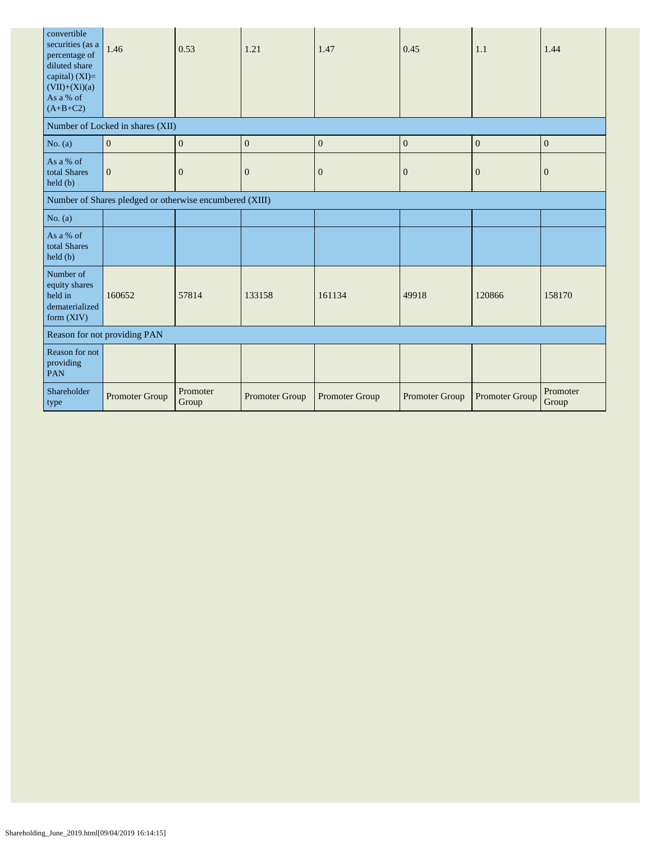| convertible<br>securities (as a<br>percentage of<br>diluted share<br>capital) $(XI)=$<br>$(VII)+(Xi)(a)$<br>As a % of<br>$(A+B+C2)$ | 1.46                                                    | 0.53              | 1.21             | 1.47           | 0.45           | 1.1            | 1.44              |
|-------------------------------------------------------------------------------------------------------------------------------------|---------------------------------------------------------|-------------------|------------------|----------------|----------------|----------------|-------------------|
|                                                                                                                                     | Number of Locked in shares (XII)                        |                   |                  |                |                |                |                   |
| No. (a)                                                                                                                             | $\mathbf{0}$                                            | $\boldsymbol{0}$  | $\boldsymbol{0}$ | $\mathbf{0}$   | $\mathbf{0}$   | $\overline{0}$ | $\mathbf{0}$      |
| As a % of<br>total Shares<br>$\text{held }(\text{b})$                                                                               | $\mathbf{0}$                                            | $\mathbf{0}$      | $\theta$         | $\mathbf{0}$   | $\overline{0}$ | $\mathbf{0}$   | $\overline{0}$    |
|                                                                                                                                     | Number of Shares pledged or otherwise encumbered (XIII) |                   |                  |                |                |                |                   |
| No. $(a)$                                                                                                                           |                                                         |                   |                  |                |                |                |                   |
| As a % of<br>total Shares<br>held(b)                                                                                                |                                                         |                   |                  |                |                |                |                   |
| Number of<br>equity shares<br>held in<br>dematerialized<br>form $(XIV)$                                                             | 160652                                                  | 57814             | 133158           | 161134         | 49918          | 120866         | 158170            |
|                                                                                                                                     | Reason for not providing PAN                            |                   |                  |                |                |                |                   |
| Reason for not<br>providing<br><b>PAN</b>                                                                                           |                                                         |                   |                  |                |                |                |                   |
| Shareholder<br>type                                                                                                                 | Promoter Group                                          | Promoter<br>Group | Promoter Group   | Promoter Group | Promoter Group | Promoter Group | Promoter<br>Group |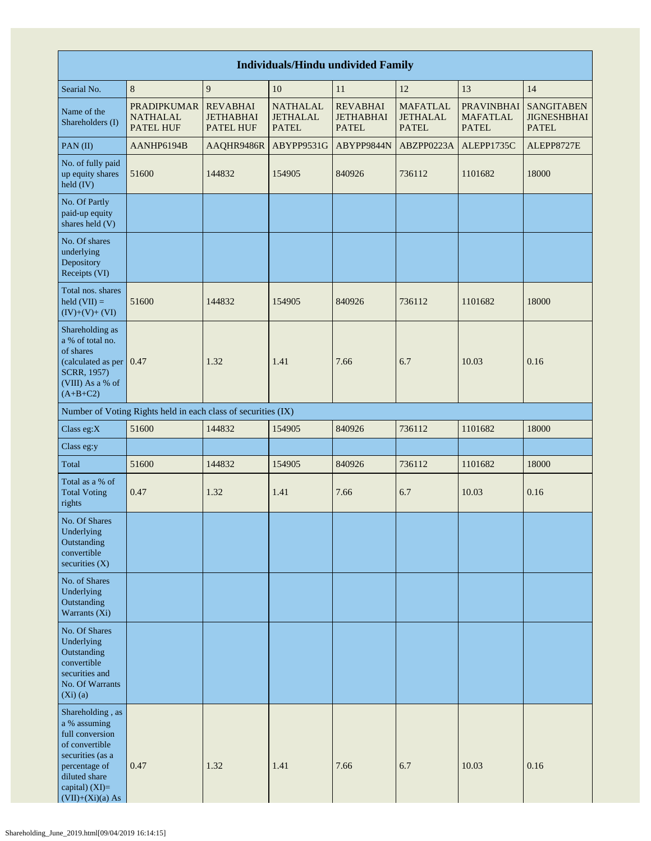| <b>Individuals/Hindu undivided Family</b>                                                                                                                           |                                                               |                                                         |                                                    |                                                     |                                                    |                                                      |                                                         |  |  |  |  |
|---------------------------------------------------------------------------------------------------------------------------------------------------------------------|---------------------------------------------------------------|---------------------------------------------------------|----------------------------------------------------|-----------------------------------------------------|----------------------------------------------------|------------------------------------------------------|---------------------------------------------------------|--|--|--|--|
| Searial No.                                                                                                                                                         | $\,8\,$                                                       | 9                                                       | 10                                                 | 11                                                  | 12                                                 | 13                                                   | 14                                                      |  |  |  |  |
| Name of the<br>Shareholders (I)                                                                                                                                     | <b>PRADIPKUMAR</b><br><b>NATHALAL</b><br>PATEL HUF            | <b>REVABHAI</b><br><b>JETHABHAI</b><br><b>PATEL HUF</b> | <b>NATHALAL</b><br><b>JETHALAL</b><br><b>PATEL</b> | <b>REVABHAI</b><br><b>JETHABHAI</b><br><b>PATEL</b> | <b>MAFATLAL</b><br><b>JETHALAL</b><br><b>PATEL</b> | <b>PRAVINBHAI</b><br><b>MAFATLAL</b><br><b>PATEL</b> | <b>SANGITABEN</b><br><b>JIGNESHBHAI</b><br><b>PATEL</b> |  |  |  |  |
| PAN(II)                                                                                                                                                             | AANHP6194B                                                    | AAQHR9486R                                              | ABYPP9531G                                         | ABYPP9844N                                          | ABZPP0223A                                         | ALEPP1735C                                           | ALEPP8727E                                              |  |  |  |  |
| No. of fully paid<br>up equity shares<br>held (IV)                                                                                                                  | 51600                                                         | 144832                                                  | 154905                                             | 840926                                              | 736112                                             | 1101682                                              | 18000                                                   |  |  |  |  |
| No. Of Partly<br>paid-up equity<br>shares held (V)                                                                                                                  |                                                               |                                                         |                                                    |                                                     |                                                    |                                                      |                                                         |  |  |  |  |
| No. Of shares<br>underlying<br>Depository<br>Receipts (VI)                                                                                                          |                                                               |                                                         |                                                    |                                                     |                                                    |                                                      |                                                         |  |  |  |  |
| Total nos. shares<br>$\text{held (VII)} =$<br>$(IV)+(V)+(VI)$                                                                                                       | 51600                                                         | 144832                                                  | 154905                                             | 840926                                              | 736112                                             | 1101682                                              | 18000                                                   |  |  |  |  |
| Shareholding as<br>a % of total no.<br>of shares<br>(calculated as per 0.47<br>SCRR, 1957)<br>(VIII) As a % of<br>$(A+B+C2)$                                        |                                                               | 1.32                                                    | 1.41                                               | 7.66                                                | 6.7                                                | 10.03                                                | 0.16                                                    |  |  |  |  |
|                                                                                                                                                                     | Number of Voting Rights held in each class of securities (IX) |                                                         |                                                    |                                                     |                                                    |                                                      |                                                         |  |  |  |  |
| Class eg:X                                                                                                                                                          | 51600                                                         | 144832                                                  | 154905                                             | 840926                                              | 736112                                             | 1101682                                              | 18000                                                   |  |  |  |  |
| Class eg:y                                                                                                                                                          |                                                               |                                                         |                                                    |                                                     |                                                    |                                                      |                                                         |  |  |  |  |
| Total                                                                                                                                                               | 51600                                                         | 144832                                                  | 154905                                             | 840926                                              | 736112                                             | 1101682                                              | 18000                                                   |  |  |  |  |
| Total as a % of<br><b>Total Voting</b><br>rights                                                                                                                    | 0.47                                                          | 1.32                                                    | 1.41                                               | 7.66                                                | 6.7                                                | 10.03                                                | 0.16                                                    |  |  |  |  |
| No. Of Shares<br>Underlying<br>Outstanding<br>convertible<br>securities $(X)$                                                                                       |                                                               |                                                         |                                                    |                                                     |                                                    |                                                      |                                                         |  |  |  |  |
| No. of Shares<br>Underlying<br>Outstanding<br>Warrants (Xi)                                                                                                         |                                                               |                                                         |                                                    |                                                     |                                                    |                                                      |                                                         |  |  |  |  |
| No. Of Shares<br>Underlying<br>Outstanding<br>convertible<br>securities and<br>No. Of Warrants<br>$(Xi)$ $(a)$                                                      |                                                               |                                                         |                                                    |                                                     |                                                    |                                                      |                                                         |  |  |  |  |
| Shareholding, as<br>a % assuming<br>full conversion<br>of convertible<br>securities (as a<br>percentage of<br>diluted share<br>capital) (XI)=<br>$(VII)+(Xi)(a) As$ | 0.47                                                          | 1.32                                                    | 1.41                                               | 7.66                                                | 6.7                                                | 10.03                                                | 0.16                                                    |  |  |  |  |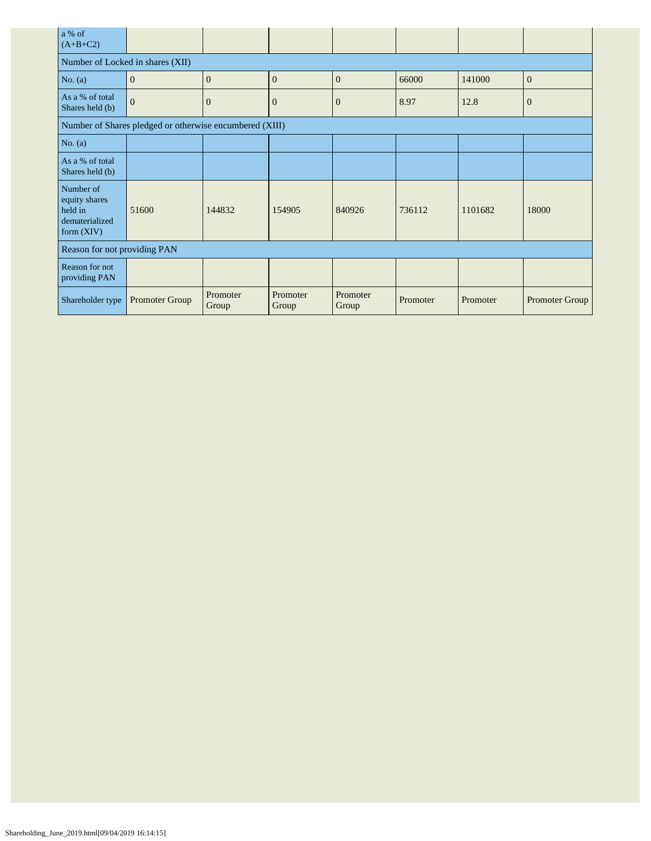| a % of<br>$(A+B+C2)$                                                    |                                                         |                   |                   |                   |          |          |                |
|-------------------------------------------------------------------------|---------------------------------------------------------|-------------------|-------------------|-------------------|----------|----------|----------------|
| Number of Locked in shares (XII)                                        |                                                         |                   |                   |                   |          |          |                |
| No. $(a)$                                                               | $\mathbf{0}$                                            | $\Omega$          | $\mathbf{0}$      | $\overline{0}$    | 66000    | 141000   | $\overline{0}$ |
| As a % of total<br>Shares held (b)                                      | $\overline{0}$                                          | $\overline{0}$    | $\mathbf{0}$      | $\overline{0}$    | 8.97     | 12.8     | $\mathbf{0}$   |
|                                                                         | Number of Shares pledged or otherwise encumbered (XIII) |                   |                   |                   |          |          |                |
| No. $(a)$                                                               |                                                         |                   |                   |                   |          |          |                |
| As a % of total<br>Shares held (b)                                      |                                                         |                   |                   |                   |          |          |                |
| Number of<br>equity shares<br>held in<br>dematerialized<br>form $(XIV)$ | 51600                                                   | 144832            | 154905            | 840926            | 736112   | 1101682  | 18000          |
| Reason for not providing PAN                                            |                                                         |                   |                   |                   |          |          |                |
| Reason for not<br>providing PAN                                         |                                                         |                   |                   |                   |          |          |                |
| Shareholder type                                                        | Promoter Group                                          | Promoter<br>Group | Promoter<br>Group | Promoter<br>Group | Promoter | Promoter | Promoter Group |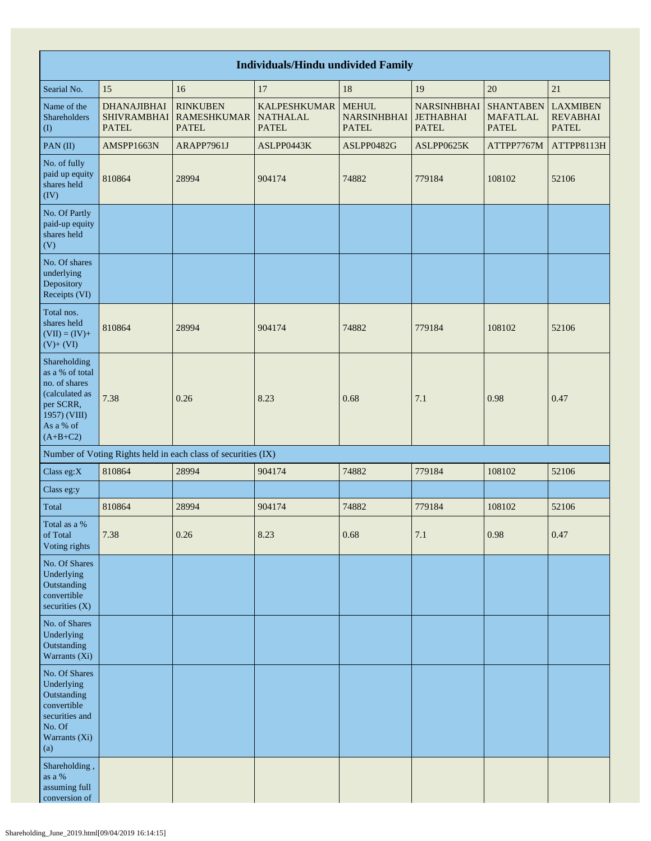|                                                                                                                            | <b>Individuals/Hindu undivided Family</b>                |                                                               |                                                        |                                                    |                                                        |                                                     |                                                    |  |  |  |  |  |  |
|----------------------------------------------------------------------------------------------------------------------------|----------------------------------------------------------|---------------------------------------------------------------|--------------------------------------------------------|----------------------------------------------------|--------------------------------------------------------|-----------------------------------------------------|----------------------------------------------------|--|--|--|--|--|--|
| Searial No.                                                                                                                | 15                                                       | 16                                                            | 17                                                     | 18                                                 | 19                                                     | 20                                                  | 21                                                 |  |  |  |  |  |  |
| Name of the<br>Shareholders<br>$\left( \mathrm{I}\right)$                                                                  | <b>DHANAJIBHAI</b><br><b>SHIVRAMBHAI</b><br><b>PATEL</b> | <b>RINKUBEN</b><br><b>RAMESHKUMAR</b><br><b>PATEL</b>         | <b>KALPESHKUMAR</b><br><b>NATHALAL</b><br><b>PATEL</b> | <b>MEHUL</b><br><b>NARSINHBHAI</b><br><b>PATEL</b> | <b>NARSINHBHAI</b><br><b>JETHABHAI</b><br><b>PATEL</b> | <b>SHANTABEN</b><br><b>MAFATLAL</b><br><b>PATEL</b> | <b>LAXMIBEN</b><br><b>REVABHAI</b><br><b>PATEL</b> |  |  |  |  |  |  |
| PAN(II)                                                                                                                    | AMSPP1663N                                               | ARAPP7961J                                                    | ASLPP0443K                                             | ASLPP0482G                                         | ASLPP0625K                                             | ATTPP7767M                                          | ATTPP8113H                                         |  |  |  |  |  |  |
| No. of fully<br>paid up equity<br>shares held<br>(IV)                                                                      | 810864                                                   | 28994                                                         | 904174                                                 | 74882                                              | 779184                                                 | 108102                                              | 52106                                              |  |  |  |  |  |  |
| No. Of Partly<br>paid-up equity<br>shares held<br>(V)                                                                      |                                                          |                                                               |                                                        |                                                    |                                                        |                                                     |                                                    |  |  |  |  |  |  |
| No. Of shares<br>underlying<br>Depository<br>Receipts (VI)                                                                 |                                                          |                                                               |                                                        |                                                    |                                                        |                                                     |                                                    |  |  |  |  |  |  |
| Total nos.<br>shares held<br>$(VII) = (IV) +$<br>$(V)+(VI)$                                                                | 810864                                                   | 28994                                                         | 904174                                                 | 74882                                              | 779184                                                 | 108102                                              | 52106                                              |  |  |  |  |  |  |
| Shareholding<br>as a % of total<br>no. of shares<br>(calculated as<br>per SCRR,<br>1957) (VIII)<br>As a % of<br>$(A+B+C2)$ | 7.38                                                     | 0.26                                                          | 8.23                                                   | 0.68                                               | 7.1                                                    | 0.98                                                | 0.47                                               |  |  |  |  |  |  |
|                                                                                                                            |                                                          | Number of Voting Rights held in each class of securities (IX) |                                                        |                                                    |                                                        |                                                     |                                                    |  |  |  |  |  |  |
| Class eg: $X$                                                                                                              | 810864                                                   | 28994                                                         | 904174                                                 | 74882                                              | 779184                                                 | 108102                                              | 52106                                              |  |  |  |  |  |  |
| Class eg:y                                                                                                                 |                                                          |                                                               |                                                        |                                                    |                                                        |                                                     |                                                    |  |  |  |  |  |  |
| Total                                                                                                                      | 810864                                                   | 28994                                                         | 904174                                                 | 74882                                              | 779184                                                 | 108102                                              | 52106                                              |  |  |  |  |  |  |
| Total as a %<br>of Total<br>Voting rights                                                                                  | 7.38                                                     | $0.26\,$                                                      | 8.23                                                   | 0.68                                               | 7.1                                                    | 0.98                                                | 0.47                                               |  |  |  |  |  |  |
| No. Of Shares<br>Underlying<br>Outstanding<br>convertible<br>securities (X)                                                |                                                          |                                                               |                                                        |                                                    |                                                        |                                                     |                                                    |  |  |  |  |  |  |
| No. of Shares<br>Underlying<br>Outstanding<br>Warrants (Xi)                                                                |                                                          |                                                               |                                                        |                                                    |                                                        |                                                     |                                                    |  |  |  |  |  |  |
| No. Of Shares<br>Underlying<br>Outstanding<br>convertible<br>securities and<br>No. Of<br>Warrants (Xi)<br>(a)              |                                                          |                                                               |                                                        |                                                    |                                                        |                                                     |                                                    |  |  |  |  |  |  |
| Shareholding,<br>as a $%$<br>assuming full<br>conversion of                                                                |                                                          |                                                               |                                                        |                                                    |                                                        |                                                     |                                                    |  |  |  |  |  |  |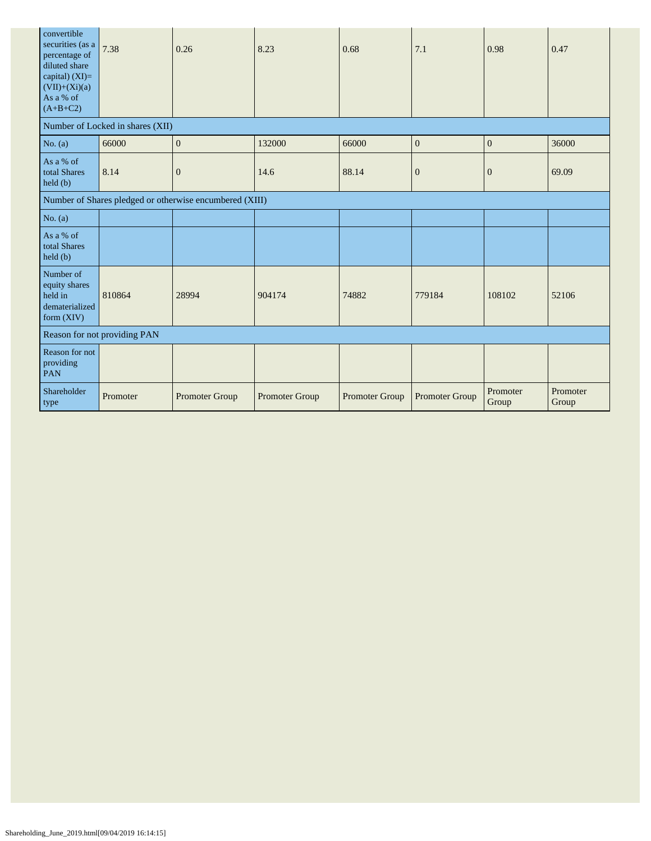| convertible<br>securities (as a<br>percentage of<br>diluted share<br>capital) $(XI)=$<br>$(VII)+(Xi)(a)$<br>As a % of<br>$(A+B+C2)$ | 7.38                             | 0.26                                                    | 8.23           | 0.68           | 7.1            | 0.98              | 0.47              |
|-------------------------------------------------------------------------------------------------------------------------------------|----------------------------------|---------------------------------------------------------|----------------|----------------|----------------|-------------------|-------------------|
|                                                                                                                                     | Number of Locked in shares (XII) |                                                         |                |                |                |                   |                   |
| No. $(a)$                                                                                                                           | 66000                            | $\mathbf{0}$                                            | 132000         | 66000          | $\mathbf{0}$   | $\boldsymbol{0}$  | 36000             |
| As a % of<br>total Shares<br>held(b)                                                                                                | 8.14                             | $\boldsymbol{0}$                                        | 14.6           | 88.14          | $\mathbf{0}$   | $\mathbf{0}$      | 69.09             |
|                                                                                                                                     |                                  | Number of Shares pledged or otherwise encumbered (XIII) |                |                |                |                   |                   |
| No. $(a)$                                                                                                                           |                                  |                                                         |                |                |                |                   |                   |
| As a % of<br>total Shares<br>$\text{held }(\text{b})$                                                                               |                                  |                                                         |                |                |                |                   |                   |
| Number of<br>equity shares<br>held in<br>dematerialized<br>form (XIV)                                                               | 810864                           | 28994                                                   | 904174         | 74882          | 779184         | 108102            | 52106             |
|                                                                                                                                     | Reason for not providing PAN     |                                                         |                |                |                |                   |                   |
| Reason for not<br>providing<br><b>PAN</b>                                                                                           |                                  |                                                         |                |                |                |                   |                   |
| Shareholder<br>type                                                                                                                 | Promoter                         | Promoter Group                                          | Promoter Group | Promoter Group | Promoter Group | Promoter<br>Group | Promoter<br>Group |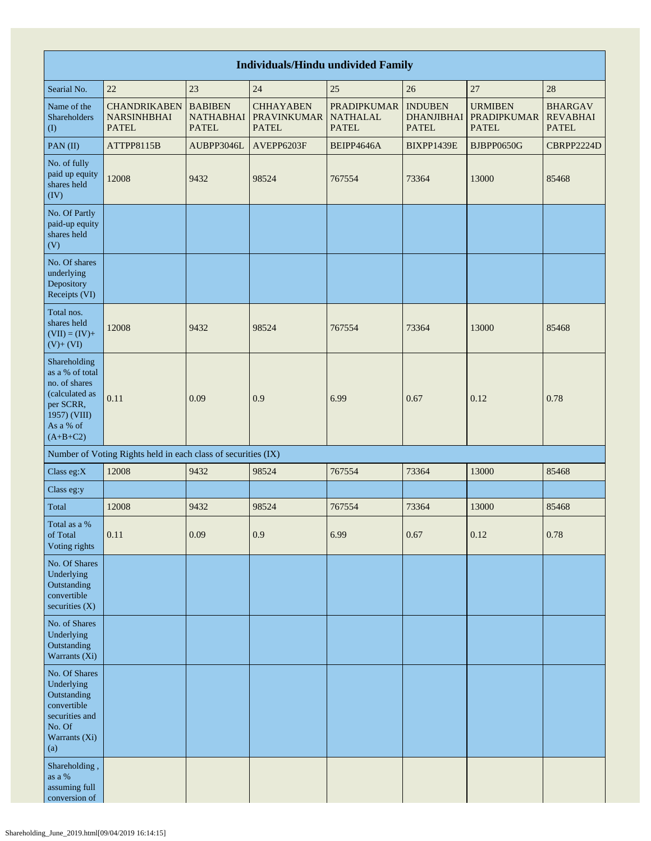| <b>Individuals/Hindu undivided Family</b>                                                                                  |                                                               |                                                    |                                                        |                                                       |                                                     |                                                      |                                                   |  |
|----------------------------------------------------------------------------------------------------------------------------|---------------------------------------------------------------|----------------------------------------------------|--------------------------------------------------------|-------------------------------------------------------|-----------------------------------------------------|------------------------------------------------------|---------------------------------------------------|--|
| Searial No.                                                                                                                | 25<br>27<br>22<br>23<br>24<br>26<br>28                        |                                                    |                                                        |                                                       |                                                     |                                                      |                                                   |  |
| Name of the<br>Shareholders<br>(1)                                                                                         | <b>CHANDRIKABEN</b><br><b>NARSINHBHAI</b><br><b>PATEL</b>     | <b>BABIBEN</b><br><b>NATHABHAI</b><br><b>PATEL</b> | <b>CHHAYABEN</b><br><b>PRAVINKUMAR</b><br><b>PATEL</b> | <b>PRADIPKUMAR</b><br><b>NATHALAL</b><br><b>PATEL</b> | <b>INDUBEN</b><br><b>DHANJIBHAI</b><br><b>PATEL</b> | <b>URMIBEN</b><br><b>PRADIPKUMAR</b><br><b>PATEL</b> | <b>BHARGAV</b><br><b>REVABHAI</b><br><b>PATEL</b> |  |
| PAN(II)                                                                                                                    | ATTPP8115B                                                    | AUBPP3046L                                         | AVEPP6203F                                             | BEIPP4646A                                            | BIXPP1439E                                          | BJBPP0650G                                           | CBRPP2224D                                        |  |
| No. of fully<br>paid up equity<br>shares held<br>(IV)                                                                      | 12008                                                         | 9432                                               | 98524                                                  | 767554                                                | 73364                                               | 13000                                                | 85468                                             |  |
| No. Of Partly<br>paid-up equity<br>shares held<br>(V)                                                                      |                                                               |                                                    |                                                        |                                                       |                                                     |                                                      |                                                   |  |
| No. Of shares<br>underlying<br>Depository<br>Receipts (VI)                                                                 |                                                               |                                                    |                                                        |                                                       |                                                     |                                                      |                                                   |  |
| Total nos.<br>shares held<br>$(VII) = (IV) +$<br>$(V) + (VI)$                                                              | 12008                                                         | 9432                                               | 98524                                                  | 767554                                                | 73364                                               | 13000                                                | 85468                                             |  |
| Shareholding<br>as a % of total<br>no. of shares<br>(calculated as<br>per SCRR,<br>1957) (VIII)<br>As a % of<br>$(A+B+C2)$ | 0.11                                                          | 0.09                                               | 0.9                                                    | 6.99                                                  | 0.67                                                | 0.12                                                 | 0.78                                              |  |
|                                                                                                                            | Number of Voting Rights held in each class of securities (IX) |                                                    |                                                        |                                                       |                                                     |                                                      |                                                   |  |
| Class eg:X                                                                                                                 | 12008                                                         | 9432                                               | 98524                                                  | 767554                                                | 73364                                               | 13000                                                | 85468                                             |  |
| Class eg:y                                                                                                                 |                                                               |                                                    |                                                        |                                                       |                                                     |                                                      |                                                   |  |
| Total                                                                                                                      | 12008                                                         | 9432                                               | 98524                                                  | 767554                                                | 73364                                               | 13000                                                | 85468                                             |  |
| Total as a $\%$<br>of Total<br>Voting rights                                                                               | 0.11                                                          | 0.09                                               | 0.9                                                    | 6.99                                                  | 0.67                                                | 0.12                                                 | 0.78                                              |  |
| No. Of Shares<br>Underlying<br>Outstanding<br>convertible<br>securities $(X)$                                              |                                                               |                                                    |                                                        |                                                       |                                                     |                                                      |                                                   |  |
| No. of Shares<br>Underlying<br>Outstanding<br>Warrants (Xi)                                                                |                                                               |                                                    |                                                        |                                                       |                                                     |                                                      |                                                   |  |
| No. Of Shares<br>Underlying<br>Outstanding<br>convertible<br>securities and<br>No. Of<br>Warrants (Xi)<br>(a)              |                                                               |                                                    |                                                        |                                                       |                                                     |                                                      |                                                   |  |
| Shareholding,<br>as a $\%$<br>assuming full<br>conversion of                                                               |                                                               |                                                    |                                                        |                                                       |                                                     |                                                      |                                                   |  |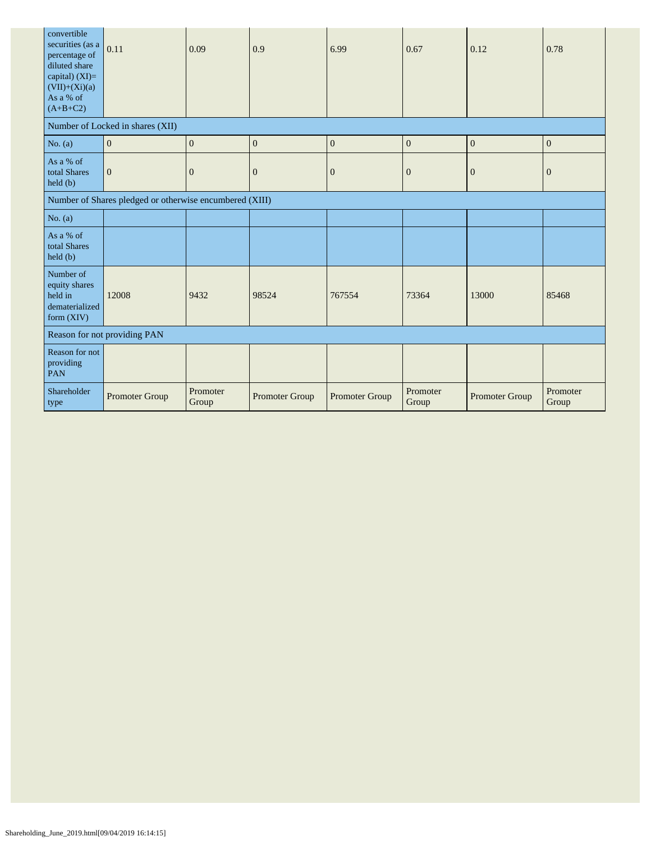| convertible<br>securities (as a<br>percentage of<br>diluted share<br>capital) (XI)=<br>$(VII)+(Xi)(a)$<br>As a % of<br>$(A+B+C2)$ | 0.11                                                    | 0.09              | 0.9                   | 6.99           | 0.67              | 0.12                  | 0.78              |
|-----------------------------------------------------------------------------------------------------------------------------------|---------------------------------------------------------|-------------------|-----------------------|----------------|-------------------|-----------------------|-------------------|
|                                                                                                                                   | Number of Locked in shares (XII)                        |                   |                       |                |                   |                       |                   |
| No. $(a)$                                                                                                                         | $\boldsymbol{0}$                                        | $\mathbf{0}$      | $\boldsymbol{0}$      | $\mathbf{0}$   | $\mathbf{0}$      | $\boldsymbol{0}$      | $\mathbf{0}$      |
| As a % of<br>total Shares<br>held (b)                                                                                             | $\mathbf{0}$                                            | $\overline{0}$    | $\overline{0}$        | $\mathbf{0}$   | $\overline{0}$    | $\overline{0}$        | $\boldsymbol{0}$  |
|                                                                                                                                   | Number of Shares pledged or otherwise encumbered (XIII) |                   |                       |                |                   |                       |                   |
| No. $(a)$                                                                                                                         |                                                         |                   |                       |                |                   |                       |                   |
| As a % of<br>total Shares<br>held (b)                                                                                             |                                                         |                   |                       |                |                   |                       |                   |
| Number of<br>equity shares<br>held in<br>dematerialized<br>form $(XIV)$                                                           | 12008                                                   | 9432              | 98524                 | 767554         | 73364             | 13000                 | 85468             |
| Reason for not providing PAN                                                                                                      |                                                         |                   |                       |                |                   |                       |                   |
| Reason for not<br>providing<br>PAN                                                                                                |                                                         |                   |                       |                |                   |                       |                   |
| Shareholder<br>type                                                                                                               | Promoter Group                                          | Promoter<br>Group | <b>Promoter Group</b> | Promoter Group | Promoter<br>Group | <b>Promoter Group</b> | Promoter<br>Group |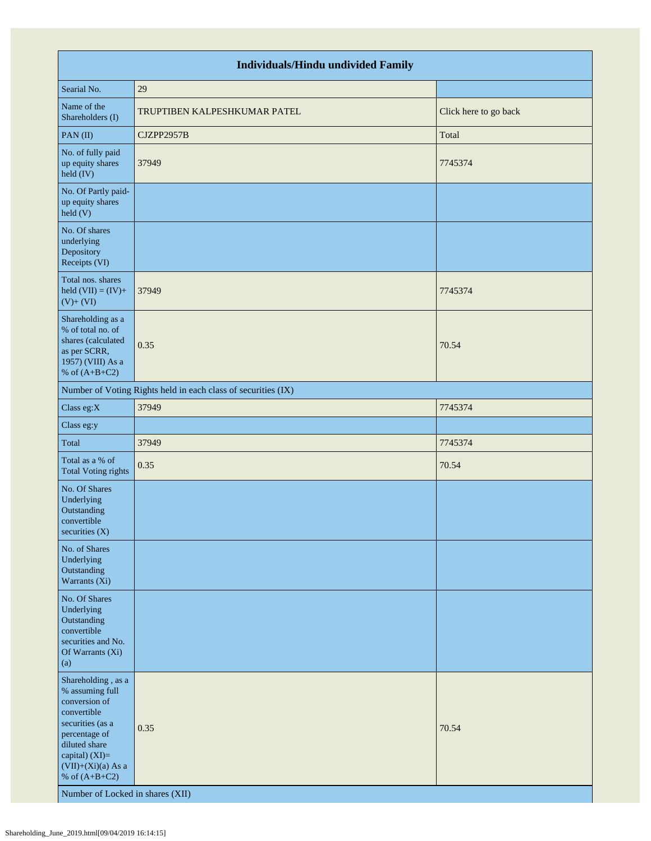| <b>Individuals/Hindu undivided Family</b>                                                                                                                                                                                    |                                                               |                       |  |  |  |  |
|------------------------------------------------------------------------------------------------------------------------------------------------------------------------------------------------------------------------------|---------------------------------------------------------------|-----------------------|--|--|--|--|
| Searial No.                                                                                                                                                                                                                  | 29                                                            |                       |  |  |  |  |
| Name of the<br>Shareholders (I)                                                                                                                                                                                              | TRUPTIBEN KALPESHKUMAR PATEL                                  | Click here to go back |  |  |  |  |
| PAN(II)                                                                                                                                                                                                                      | CJZPP2957B                                                    | Total                 |  |  |  |  |
| No. of fully paid<br>up equity shares<br>held (IV)                                                                                                                                                                           | 37949                                                         | 7745374               |  |  |  |  |
| No. Of Partly paid-<br>up equity shares<br>held(V)                                                                                                                                                                           |                                                               |                       |  |  |  |  |
| No. Of shares<br>underlying<br>Depository<br>Receipts (VI)                                                                                                                                                                   |                                                               |                       |  |  |  |  |
| Total nos. shares<br>held $(VII) = (IV) +$<br>$(V) + (VI)$                                                                                                                                                                   | 37949                                                         | 7745374               |  |  |  |  |
| Shareholding as a<br>% of total no. of<br>shares (calculated<br>as per SCRR,<br>1957) (VIII) As a<br>% of $(A+B+C2)$                                                                                                         | 0.35                                                          | 70.54                 |  |  |  |  |
|                                                                                                                                                                                                                              | Number of Voting Rights held in each class of securities (IX) |                       |  |  |  |  |
| Class eg:X                                                                                                                                                                                                                   | 37949                                                         | 7745374               |  |  |  |  |
| Class eg:y                                                                                                                                                                                                                   |                                                               |                       |  |  |  |  |
| Total                                                                                                                                                                                                                        | 37949                                                         | 7745374               |  |  |  |  |
| Total as a % of<br><b>Total Voting rights</b>                                                                                                                                                                                | 0.35                                                          | 70.54                 |  |  |  |  |
| No. Of Shares<br>Underlying<br>Outstanding<br>convertible<br>securities $(X)$                                                                                                                                                |                                                               |                       |  |  |  |  |
| No. of Shares<br>Underlying<br>Outstanding<br>Warrants (Xi)                                                                                                                                                                  |                                                               |                       |  |  |  |  |
| No. Of Shares<br>Underlying<br>Outstanding<br>convertible<br>securities and No.<br>Of Warrants (Xi)<br>(a)                                                                                                                   |                                                               |                       |  |  |  |  |
| Shareholding, as a<br>% assuming full<br>conversion of<br>convertible<br>securities (as a<br>percentage of<br>diluted share<br>capital) (XI)=<br>$(VII)+(Xi)(a)$ As a<br>% of $(A+B+C2)$<br>Number of Locked in shares (XII) | 0.35                                                          | 70.54                 |  |  |  |  |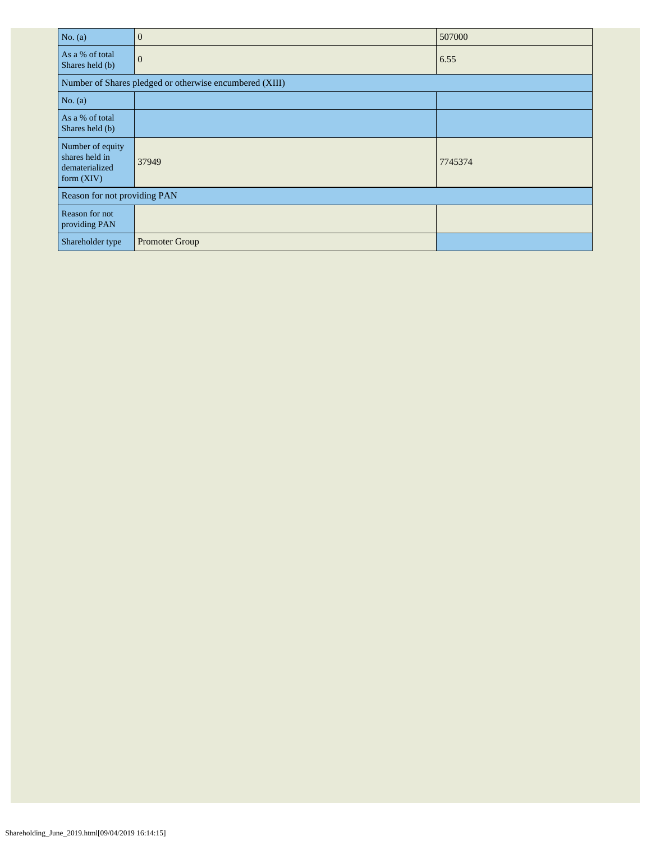| No. $(a)$                                                            | $\overline{0}$                                          | 507000  |  |  |  |
|----------------------------------------------------------------------|---------------------------------------------------------|---------|--|--|--|
| As a % of total<br>Shares held (b)                                   | $\mathbf{0}$                                            | 6.55    |  |  |  |
|                                                                      | Number of Shares pledged or otherwise encumbered (XIII) |         |  |  |  |
| No. $(a)$                                                            |                                                         |         |  |  |  |
| As a % of total<br>Shares held (b)                                   |                                                         |         |  |  |  |
| Number of equity<br>shares held in<br>dematerialized<br>form $(XIV)$ | 37949                                                   | 7745374 |  |  |  |
| Reason for not providing PAN                                         |                                                         |         |  |  |  |
| Reason for not<br>providing PAN                                      |                                                         |         |  |  |  |
| Shareholder type                                                     | Promoter Group                                          |         |  |  |  |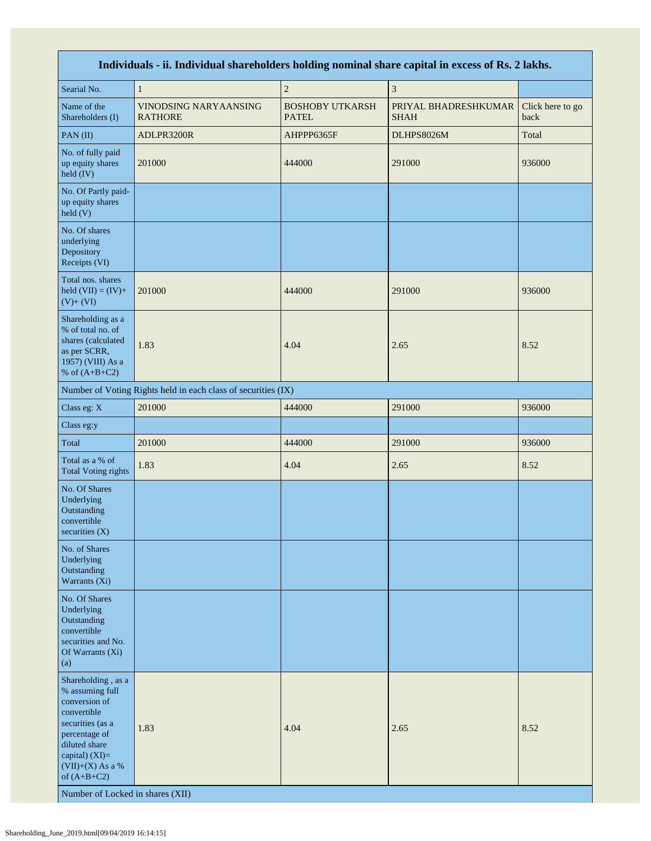| Individuals - ii. Individual shareholders holding nominal share capital in excess of Rs. 2 lakhs.                                                                                                                        |                                                               |                                        |                                     |                          |  |  |  |
|--------------------------------------------------------------------------------------------------------------------------------------------------------------------------------------------------------------------------|---------------------------------------------------------------|----------------------------------------|-------------------------------------|--------------------------|--|--|--|
| Searial No.                                                                                                                                                                                                              | $\mathbf{1}$                                                  | $\sqrt{2}$                             | $\mathfrak z$                       |                          |  |  |  |
| Name of the<br>Shareholders (I)                                                                                                                                                                                          | VINODSING NARYAANSING<br><b>RATHORE</b>                       | <b>BOSHOBY UTKARSH</b><br><b>PATEL</b> | PRIYAL BHADRESHKUMAR<br><b>SHAH</b> | Click here to go<br>back |  |  |  |
| PAN(II)                                                                                                                                                                                                                  | ADLPR3200R                                                    | AHPPP6365F                             | DLHPS8026M                          | Total                    |  |  |  |
| No. of fully paid<br>up equity shares<br>held (IV)                                                                                                                                                                       | 201000                                                        | 444000                                 | 291000                              | 936000                   |  |  |  |
| No. Of Partly paid-<br>up equity shares<br>held(V)                                                                                                                                                                       |                                                               |                                        |                                     |                          |  |  |  |
| No. Of shares<br>underlying<br>Depository<br>Receipts (VI)                                                                                                                                                               |                                                               |                                        |                                     |                          |  |  |  |
| Total nos. shares<br>held $(VII) = (IV) +$<br>$(V)+(VI)$                                                                                                                                                                 | 201000                                                        | 444000                                 | 291000                              | 936000                   |  |  |  |
| Shareholding as a<br>% of total no. of<br>shares (calculated<br>as per SCRR,<br>1957) (VIII) As a<br>% of $(A+B+C2)$                                                                                                     | 1.83                                                          | 4.04                                   | 2.65                                | 8.52                     |  |  |  |
|                                                                                                                                                                                                                          | Number of Voting Rights held in each class of securities (IX) |                                        |                                     |                          |  |  |  |
| Class eg: X                                                                                                                                                                                                              | 201000                                                        | 444000                                 | 291000                              | 936000                   |  |  |  |
| Class eg:y                                                                                                                                                                                                               |                                                               |                                        |                                     |                          |  |  |  |
| Total                                                                                                                                                                                                                    | 201000                                                        | 444000                                 | 291000                              | 936000                   |  |  |  |
| Total as a % of<br><b>Total Voting rights</b>                                                                                                                                                                            | 1.83                                                          | 4.04                                   | 2.65                                | 8.52                     |  |  |  |
| No. Of Shares<br>Underlying<br>Outstanding<br>convertible<br>securities (X)                                                                                                                                              |                                                               |                                        |                                     |                          |  |  |  |
| No. of Shares<br>Underlying<br>Outstanding<br>Warrants (Xi)                                                                                                                                                              |                                                               |                                        |                                     |                          |  |  |  |
| No. Of Shares<br>Underlying<br>Outstanding<br>convertible<br>securities and No.<br>Of Warrants (Xi)<br>(a)                                                                                                               |                                                               |                                        |                                     |                          |  |  |  |
| Shareholding, as a<br>% assuming full<br>conversion of<br>convertible<br>securities (as a<br>percentage of<br>diluted share<br>capital) (XI)=<br>$(VII)+(X)$ As a %<br>of $(A+B+C2)$<br>Number of Locked in shares (XII) | 1.83                                                          | 4.04                                   | 2.65                                | 8.52                     |  |  |  |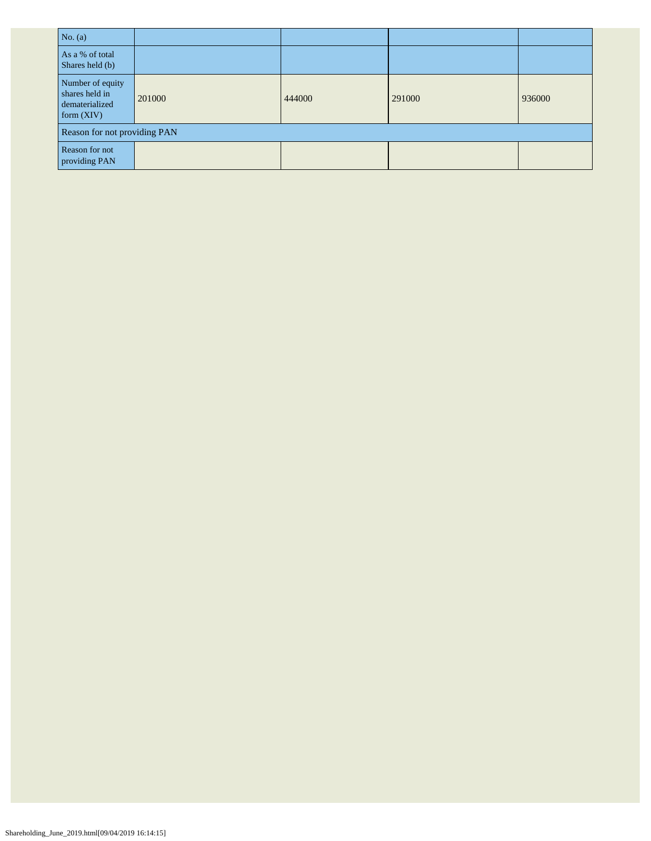| No. $(a)$                                                            |        |        |        |        |  |  |
|----------------------------------------------------------------------|--------|--------|--------|--------|--|--|
| As a % of total<br>Shares held (b)                                   |        |        |        |        |  |  |
| Number of equity<br>shares held in<br>dematerialized<br>form $(XIV)$ | 201000 | 444000 | 291000 | 936000 |  |  |
| Reason for not providing PAN                                         |        |        |        |        |  |  |
| Reason for not<br>providing PAN                                      |        |        |        |        |  |  |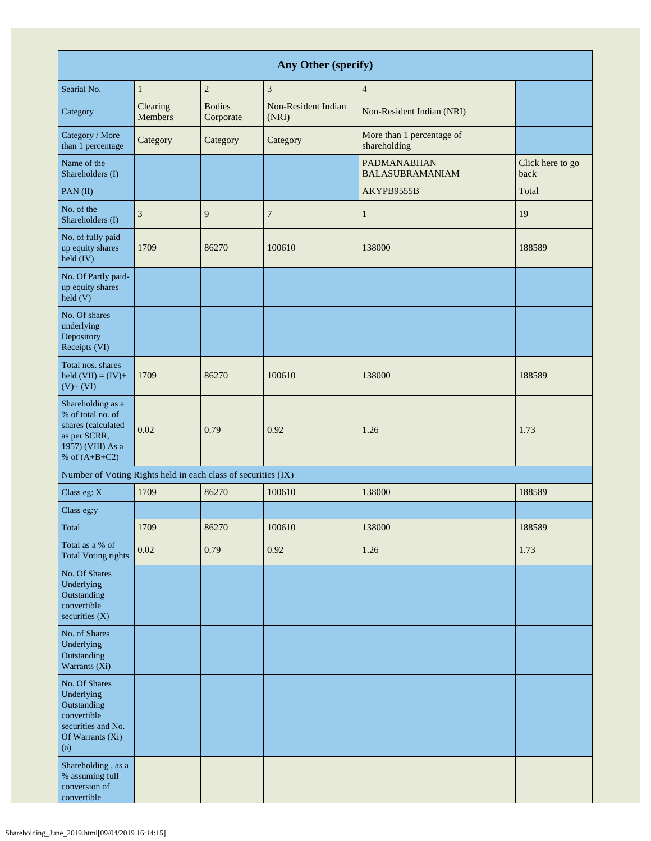| Any Other (specify)                                                                                                  |                     |                            |                              |                                              |                          |  |
|----------------------------------------------------------------------------------------------------------------------|---------------------|----------------------------|------------------------------|----------------------------------------------|--------------------------|--|
| Searial No.                                                                                                          | $\mathbf{1}$        | $\overline{c}$             | 3                            | $\overline{4}$                               |                          |  |
| Category                                                                                                             | Clearing<br>Members | <b>Bodies</b><br>Corporate | Non-Resident Indian<br>(NRI) | Non-Resident Indian (NRI)                    |                          |  |
| Category / More<br>than 1 percentage                                                                                 | Category            | Category                   | Category                     | More than 1 percentage of<br>shareholding    |                          |  |
| Name of the<br>Shareholders (I)                                                                                      |                     |                            |                              | <b>PADMANABHAN</b><br><b>BALASUBRAMANIAM</b> | Click here to go<br>back |  |
| $PAN$ (II)                                                                                                           |                     |                            |                              | AKYPB9555B                                   | Total                    |  |
| No. of the<br>Shareholders (I)                                                                                       | 3                   | 9                          | 7                            | $\mathbf{1}$                                 | 19                       |  |
| No. of fully paid<br>up equity shares<br>held (IV)                                                                   | 1709                | 86270                      | 100610                       | 138000                                       | 188589                   |  |
| No. Of Partly paid-<br>up equity shares<br>held(V)                                                                   |                     |                            |                              |                                              |                          |  |
| No. Of shares<br>underlying<br>Depository<br>Receipts (VI)                                                           |                     |                            |                              |                                              |                          |  |
| Total nos. shares<br>held $(VII) = (IV) +$<br>$(V)+(VI)$                                                             | 1709                | 86270                      | 100610                       | 138000                                       | 188589                   |  |
| Shareholding as a<br>% of total no. of<br>shares (calculated<br>as per SCRR,<br>1957) (VIII) As a<br>% of $(A+B+C2)$ | 0.02                | 0.79                       | 0.92                         | 1.26                                         | 1.73                     |  |
| Number of Voting Rights held in each class of securities (IX)                                                        |                     |                            |                              |                                              |                          |  |
| Class eg: X                                                                                                          | 1709                | 86270                      | 100610                       | 138000                                       | 188589                   |  |
| Class eg:y                                                                                                           |                     |                            |                              |                                              |                          |  |
| Total                                                                                                                | 1709                | 86270                      | 100610                       | 138000                                       | 188589                   |  |
| Total as a % of<br><b>Total Voting rights</b>                                                                        | 0.02                | 0.79                       | 0.92                         | 1.26                                         | 1.73                     |  |
| No. Of Shares<br>Underlying<br>Outstanding<br>convertible<br>securities $(X)$                                        |                     |                            |                              |                                              |                          |  |
| No. of Shares<br>Underlying<br>Outstanding<br>Warrants (Xi)                                                          |                     |                            |                              |                                              |                          |  |
| No. Of Shares<br>Underlying<br>Outstanding<br>convertible<br>securities and No.<br>Of Warrants (Xi)<br>(a)           |                     |                            |                              |                                              |                          |  |
| Shareholding, as a<br>% assuming full<br>conversion of<br>convertible                                                |                     |                            |                              |                                              |                          |  |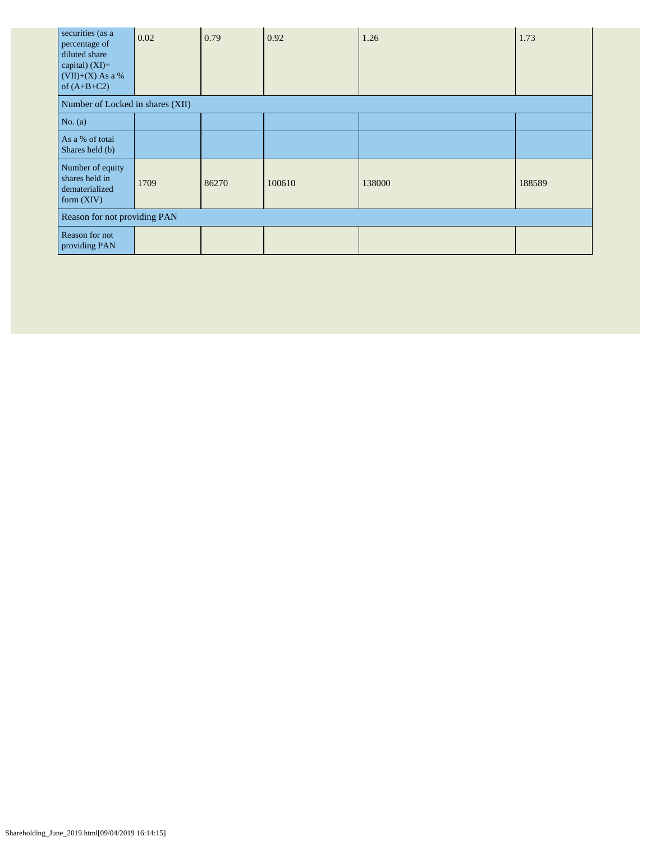| securities (as a<br>percentage of<br>diluted share<br>capital) $(XI)=$<br>$(VII)+(X)$ As a %<br>of $(A+B+C2)$ | 0.02 | 0.79  | 0.92   | 1.26   | 1.73   |  |
|---------------------------------------------------------------------------------------------------------------|------|-------|--------|--------|--------|--|
| Number of Locked in shares (XII)                                                                              |      |       |        |        |        |  |
| No. (a)                                                                                                       |      |       |        |        |        |  |
| As a % of total<br>Shares held (b)                                                                            |      |       |        |        |        |  |
| Number of equity<br>shares held in<br>dematerialized<br>form $(XIV)$                                          | 1709 | 86270 | 100610 | 138000 | 188589 |  |
| Reason for not providing PAN                                                                                  |      |       |        |        |        |  |
| Reason for not<br>providing PAN                                                                               |      |       |        |        |        |  |